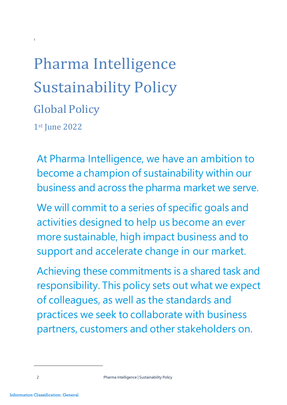# Pharma Intelligence Sustainability Policy Global Policy 1st June 2022

At Pharma Intelligence, we have an ambition to become a champion of sustainability within our business and across the pharma market we serve.

We will commit to a series of specific goals and activities designed to help us become an ever more sustainable, high impact business and to support and accelerate change in our market.

Achieving these commitments is a shared task and responsibility. This policy sets out what we expect of colleagues, as well as the standards and practices we seek to collaborate with business partners, customers and other stakeholders on.

[1](#page-0-0)

<span id="page-0-0"></span><sup>2</sup> **Pharma Intelligence | Sustainability Policy**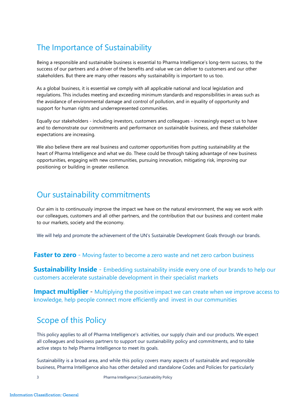### The Importance of Sustainability

Being a responsible and sustainable business is essential to Pharma Intelligence's long-term success, to the success of our partners and a driver of the benefits and value we can deliver to customers and our other stakeholders. But there are many other reasons why sustainability is important to us too.

As a global business, it is essential we comply with all applicable national and local legislation and regulations. This includes meeting and exceeding minimum standards and responsibilities in areas such as the avoidance of environmental damage and control of pollution, and in equality of opportunity and support for human rights and underrepresented communities.

Equally our stakeholders - including investors, customers and colleagues - increasingly expect us to have and to demonstrate our commitments and performance on sustainable business, and these stakeholder expectations are increasing.

We also believe there are real business and customer opportunities from putting sustainability at the heart of Pharma Intelligence and what we do. These could be through taking advantage of new business opportunities, engaging with new communities, pursuing innovation, mitigating risk, improving our positioning or building in greater resilience.

#### Our sustainability commitments

Our aim is to continuously improve the impact we have on the natural environment, the way we work with our colleagues, customers and all other partners, and the contribution that our business and content make to our markets, society and the economy.

We will help and promote the achievement of the UN's Sustainable Development Goals through our brands.

**Faster to zero** - Moving faster to become a zero waste and net zero carbon business

**Sustainability Inside** - Embedding sustainability inside every one of our brands to help our customers accelerate sustainable development in their specialist markets

**Impact multiplier** - Multiplying the positive impact we can create when we improve access to knowledge, help people connect more efficiently and invest in our communities

## Scope of this Policy

This policy applies to all of Pharma Intelligence's activities, our supply chain and our products. We expect all colleagues and business partners to support our sustainability policy and commitments, and to take active steps to help Pharma Intelligence to meet its goals.

Sustainability is a broad area, and while this policy covers many aspects of sustainable and responsible business, Pharma Intelligence also has other detailed and standalone Codes and Policies for particularly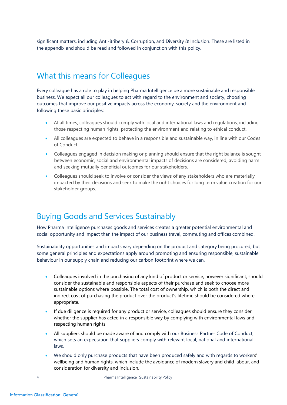significant matters, including Anti-Bribery & Corruption, and Diversity & Inclusion. These are listed in the appendix and should be read and followed in conjunction with this policy.

#### What this means for Colleagues

Every colleague has a role to play in helping Pharma Intelligence be a more sustainable and responsible business. We expect all our colleagues to act with regard to the environment and society, choosing outcomes that improve our positive impacts across the economy, society and the environment and following these basic principles:

- At all times, colleagues should comply with local and international laws and regulations, including those respecting human rights, protecting the environment and relating to ethical conduct.
- All colleagues are expected to behave in a responsible and sustainable way, in line with our Codes of Conduct.
- Colleagues engaged in decision making or planning should ensure that the right balance is sought between economic, social and environmental impacts of decisions are considered, avoiding harm and seeking mutually beneficial outcomes for our stakeholders.
- Colleagues should seek to involve or consider the views of any stakeholders who are materially impacted by their decisions and seek to make the right choices for long term value creation for our stakeholder groups.

#### Buying Goods and Services Sustainably

How Pharma Intelligence purchases goods and services creates a greater potential environmental and social opportunity and impact than the impact of our business travel, commuting and offices combined.

Sustainability opportunities and impacts vary depending on the product and category being procured, but some general principles and expectations apply around promoting and ensuring responsible, sustainable behaviour in our supply chain and reducing our carbon footprint where we can.

- Colleagues involved in the purchasing of any kind of product or service, however significant, should consider the sustainable and responsible aspects of their purchase and seek to choose more sustainable options where possible. The total cost of ownership, which is both the direct and indirect cost of purchasing the product over the product's lifetime should be considered where appropriate.
- If due diligence is required for any product or service, colleagues should ensure they consider whether the supplier has acted in a responsible way by complying with environmental laws and respecting human rights.
- All suppliers should be made aware of and comply with our Business Partner Code of Conduct, which sets an expectation that suppliers comply with relevant local, national and international laws.
- We should only purchase products that have been produced safely and with regards to workers' wellbeing and human rights, which include the avoidance of modern slavery and child labour, and consideration for diversity and inclusion.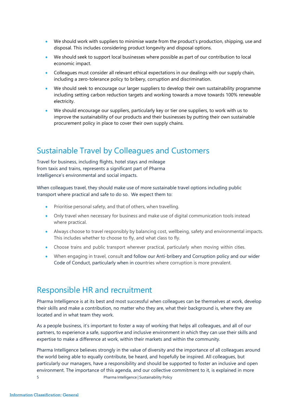- We should work with suppliers to minimise waste from the product's production, shipping, use and disposal. This includes considering product longevity and disposal options.
- We should seek to support local businesses where possible as part of our contribution to local economic impact.
- Colleagues must consider all relevant ethical expectations in our dealings with our supply chain, including a zero-tolerance policy to bribery, corruption and discrimination.
- We should seek to encourage our larger suppliers to develop their own sustainability programme including setting carbon reduction targets and working towards a move towards 100% renewable electricity.
- We should encourage our suppliers, particularly key or tier one suppliers, to work with us to improve the sustainability of our products and their businesses by putting their own sustainable procurement policy in place to cover their own supply chains.

#### Sustainable Travel by Colleagues and Customers

Travel for business, including flights, hotel stays and mileage from taxis and trains, represents a significant part of Pharma Intelligence's environmental and social impacts.

When colleagues travel, they should make use of more sustainable travel options including public transport where practical and safe to do so. We expect them to:

- Prioritise personal safety, and that of others, when travelling.
- Only travel when necessary for business and make use of digital communication tools instead where practical.
- Always choose to travel responsibly by balancing cost, wellbeing, safety and environmental impacts. This includes whether to choose to fly, and what class to fly.
- Choose trains and public transport wherever practical, particularly when moving within cities.
- When engaging in travel, consult and follow our Anti-bribery and Corruption policy and our wider Code of Conduct, particularly when in countries where corruption is more prevalent.

#### Responsible HR and recruitment

Pharma Intelligence is at its best and most successful when colleagues can be themselves at work, develop their skills and make a contribution, no matter who they are, what their background is, where they are located and in what team they work.

As a people business, it's important to foster a way of working that helps all colleagues, and all of our partners, to experience a safe, supportive and inclusive environment in which they can use their skills and expertise to make a difference at work, within their markets and within the community.

Pharma Intelligence believes strongly in the value of diversity and the importance of all colleagues around the world being able to equally contribute, be heard, and hopefully be inspired. All colleagues, but particularly our managers, have a responsibility and should be supported to foster an inclusive and open environment. The importance of this agenda, and our collective commitment to it, is explained in more 5 Pharma Intelligence | Sustainability Policy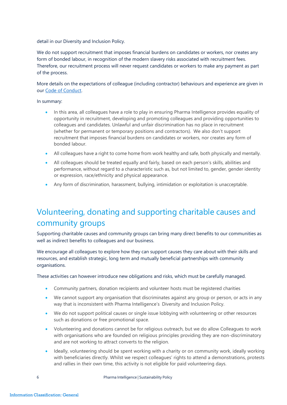detail in our [Diversity](https://www.informa.com/globalassets/documents/policies/informa-diversity-inclusion-global-policy.pdf) and Inclusion Policy.

We do not support recruitment that imposes financial burdens on candidates or workers, nor creates any form of bonded labour, in recognition of the modern slavery risks associated with recruitment fees. Therefore, our recruitment process will never request candidates or workers to make any payment as part of the process.

More details on the expectations of colleague (including contractor) behaviours and experience are given in our Code of Conduct.

In summary:

- In this area, all colleagues have a role to play in ensuring Pharma Intelligence provides equality of opportunity in recruitment, developing and promoting colleagues and providing opportunities to colleagues and candidates. Unlawful and unfair discrimination has no place in recruitment (whether for permanent or temporary positions and contractors). We also don't support recruitment that imposes financial burdens on candidates or workers, nor creates any form of bonded labour.
- All colleagues have a right to come home from work healthy and safe, both physically and mentally.
- All colleagues should be treated equally and fairly, based on each person's skills, abilities and performance, without regard to a characteristic such as, but not limited to, gender, gender identity or expression, race/ethnicity and physical appearance.
- Any form of discrimination, harassment, bullying, intimidation or exploitation is unacceptable.

## Volunteering, donating and supporting charitable causes and community groups

Supporting charitable causes and community groups can bring many direct benefits to our communities as well as indirect benefits to colleagues and our business.

We encourage all colleagues to explore how they can support causes they care about with their skills and resources, and establish strategic, long term and mutually beneficial partnerships with community organisations.

These activities can however introduce new obligations and risks, which must be carefully managed.

- Community partners, donation recipients and volunteer hosts must be registered charities
- We cannot support any organisation that discriminates against any group or person, or acts in any way that is inconsistent with Pharma Intelligence's Diversity and Inclusion Policy.
- We do not support political causes or single issue lobbying with volunteering or other resources such as donations or free promotional space.
- Volunteering and donations cannot be for religious outreach, but we do allow Colleagues to work with organisations who are founded on religious principles providing they are non-discriminatory and are not working to attract converts to the religion.
- Ideally, volunteering should be spent working with a charity or on community work, ideally working with beneficiaries directly. Whilst we respect colleagues' rights to attend a demonstrations, protests and rallies in their own time, this activity is not eligible for paid volunteering days.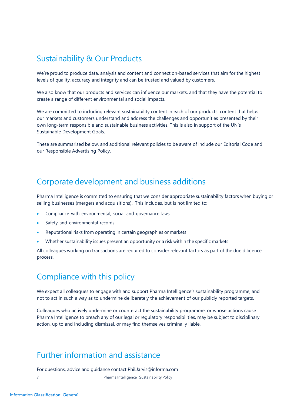#### Sustainability & Our Products

We're proud to produce data, analysis and content and connection-based services that aim for the highest levels of quality, accuracy and integrity and can be trusted and valued by customers.

We also know that our products and services can influence our markets, and that they have the potential to create a range of different environmental and social impacts.

We are committed to including relevant sustainability content in each of our products: content that helps our markets and customers understand and address the challenges and opportunities presented by their own long-term responsible and sustainable business activities. This is also in support of the UN's Sustainable Development Goals.

These are summarised below, and additional relevant policies to be aware of include our Editorial Code and our Responsible Advertising Policy.

#### Corporate development and business additions

Pharma Intelligence is committed to ensuring that we consider appropriate sustainability factors when buying or selling businesses (mergers and acquisitions). This includes, but is not limited to:

- Compliance with environmental, social and governance laws
- Safety and environmental records
- Reputational risks from operating in certain geographies or markets
- Whether sustainability issues present an opportunity or a risk within the specific markets

All colleagues working on transactions are required to consider relevant factors as part of the due diligence process.

#### Compliance with this policy

We expect all colleagues to engage with and support Pharma Intelligence's sustainability programme, and not to act in such a way as to undermine deliberately the achievement of our publicly reported targets.

Colleagues who actively undermine or counteract the sustainability programme, or whose actions cause Pharma Intelligence to breach any of our legal or regulatory responsibilities, may be subject to disciplinary action, up to and including dismissal, or may find themselves criminally liable.

#### Further information and assistance

For questions, advice and guidance contact [Phil.Jarvis@informa.com](mailto:Phil.Jarvis@informa.com)

7 Pharma Intelligence | Sustainability Policy